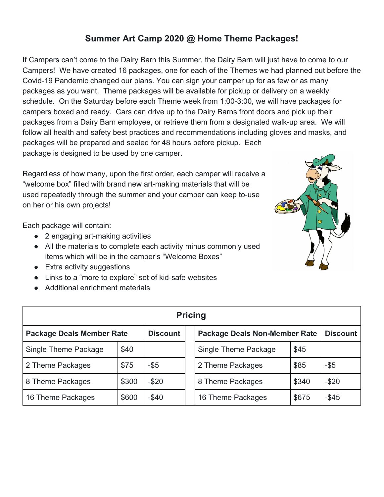# **Summer Art Camp 2020 @ Home Theme Packages!**

If Campers can't come to the Dairy Barn this Summer, the Dairy Barn will just have to come to our Campers! We have created 16 packages, one for each of the Themes we had planned out before the Covid-19 Pandemic changed our plans. You can sign your camper up for as few or as many packages as you want. Theme packages will be available for pickup or delivery on a weekly schedule. On the Saturday before each Theme week from 1:00-3:00, we will have packages for campers boxed and ready. Cars can drive up to the Dairy Barns front doors and pick up their packages from a Dairy Barn employee, or retrieve them from a designated walk-up area. We will follow all health and safety best practices and recommendations including gloves and masks, and packages will be prepared and sealed for 48 hours before pickup. Each package is designed to be used by one camper.

Regardless of how many, upon the first order, each camper will receive a "welcome box" filled with brand new art-making materials that will be used repeatedly through the summer and your camper can keep to-use on her or his own projects!

Each package will contain:

- 2 engaging art-making activities
- All the materials to complete each activity minus commonly used items which will be in the camper's "Welcome Boxes"
- Extra activity suggestions
- Links to a "more to explore" set of kid-safe websites
- Additional enrichment materials

| <b>Pricing</b>                   |       |                 |  |                                      |       |          |
|----------------------------------|-------|-----------------|--|--------------------------------------|-------|----------|
| <b>Package Deals Member Rate</b> |       | <b>Discount</b> |  | <b>Package Deals Non-Member Rate</b> |       | Discount |
| Single Theme Package             | \$40  |                 |  | Single Theme Package                 | \$45  |          |
| 2 Theme Packages                 | \$75  | $-$ \$5         |  | 2 Theme Packages                     | \$85  | $-$ \$5  |
| 8 Theme Packages                 | \$300 | $-$ \$20        |  | 8 Theme Packages                     | \$340 | $-$ \$20 |
| 16 Theme Packages                | \$600 | $-$ \$40        |  | 16 Theme Packages                    | \$675 | $-$ \$45 |

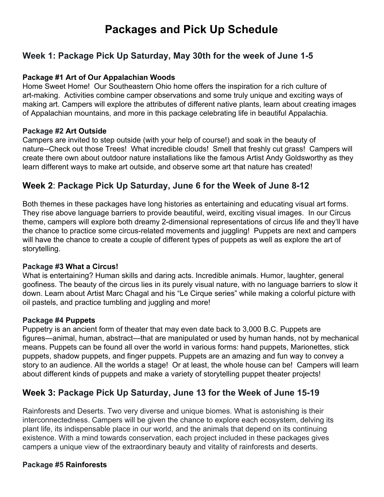# **Packages and Pick Up Schedule**

### **Week 1: Package Pick Up Saturday, May 30th for the week of June 1-5**

### **Package #1 Art of Our Appalachian Woods**

Home Sweet Home! Our Southeastern Ohio home offers the inspiration for a rich culture of art-making. Activities combine camper observations and some truly unique and exciting ways of making art. Campers will explore the attributes of different native plants, learn about creating images of Appalachian mountains, and more in this package celebrating life in beautiful Appalachia.

### **Package #2 Art Outside**

Campers are invited to step outside (with your help of course!) and soak in the beauty of nature--Check out those Trees! What incredible clouds! Smell that freshly cut grass! Campers will create there own about outdoor nature installations like the famous Artist Andy Goldsworthy as they learn different ways to make art outside, and observe some art that nature has created!

### **Week 2**: **Package Pick Up Saturday, June 6 for the Week of June 8-12**

Both themes in these packages have long histories as entertaining and educating visual art forms. They rise above language barriers to provide beautiful, weird, exciting visual images. In our Circus theme, campers will explore both dreamy 2-dimensional representations of circus life and they'll have the chance to practice some circus-related movements and juggling! Puppets are next and campers will have the chance to create a couple of different types of puppets as well as explore the art of storytelling.

### **Package #3 What a Circus!**

What is entertaining? Human skills and daring acts. Incredible animals. Humor, laughter, general goofiness. The beauty of the circus lies in its purely visual nature, with no language barriers to slow it down. Learn about Artist Marc Chagal and his "Le Cirque series" while making a colorful picture with oil pastels, and practice tumbling and juggling and more!

### **Package #4 Puppets**

Puppetry is an ancient form of theater that may even date back to 3,000 B.C. Puppets are figures—animal, human, abstract—that are manipulated or used by human hands, not by mechanical means. Puppets can be found all over the world in various forms: hand puppets, Marionettes, stick puppets, shadow puppets, and finger puppets. Puppets are an amazing and fun way to convey a story to an audience. All the worlds a stage! Or at least, the whole house can be! Campers will learn about different kinds of puppets and make a variety of storytelling puppet theater projects!

# **Week 3: Package Pick Up Saturday, June 13 for the Week of June 15-19**

Rainforests and Deserts. Two very diverse and unique biomes. What is astonishing is their interconnectedness. Campers will be given the chance to explore each ecosystem, delving its plant life, its indispensable place in our world, and the animals that depend on its continuing existence. With a mind towards conservation, each project included in these packages gives campers a unique view of the extraordinary beauty and vitality of rainforests and deserts.

### **Package #5 Rainforests**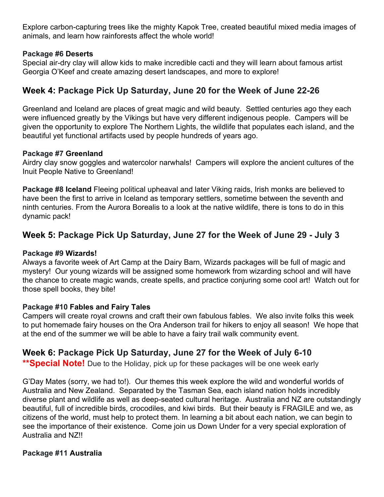Explore carbon-capturing trees like the mighty Kapok Tree, created beautiful mixed media images of animals, and learn how rainforests affect the whole world!

### **Package #6 Deserts**

Special air-dry clay will allow kids to make incredible cacti and they will learn about famous artist Georgia O'Keef and create amazing desert landscapes, and more to explore!

### **Week 4: Package Pick Up Saturday, June 20 for the Week of June 22-26**

Greenland and Iceland are places of great magic and wild beauty. Settled centuries ago they each were influenced greatly by the Vikings but have very different indigenous people. Campers will be given the opportunity to explore The Northern Lights, the wildlife that populates each island, and the beautiful yet functional artifacts used by people hundreds of years ago.

#### **Package #7 Greenland**

Airdry clay snow goggles and watercolor narwhals! Campers will explore the ancient cultures of the Inuit People Native to Greenland!

**Package #8 Iceland** Fleeing political upheaval and later Viking raids, Irish monks are believed to have been the first to arrive in Iceland as temporary settlers, sometime between the seventh and ninth centuries. From the Aurora Borealis to a look at the native wildlife, there is tons to do in this dynamic pack!

### **Week 5: Package Pick Up Saturday, June 27 for the Week of June 29 - July 3**

#### **Package #9 Wizards!**

Always a favorite week of Art Camp at the Dairy Barn, Wizards packages will be full of magic and mystery! Our young wizards will be assigned some homework from wizarding school and will have the chance to create magic wands, create spells, and practice conjuring some cool art! Watch out for those spell books, they bite!

### **Package #10 Fables and Fairy Tales**

Campers will create royal crowns and craft their own fabulous fables. We also invite folks this week to put homemade fairy houses on the Ora Anderson trail for hikers to enjoy all season! We hope that at the end of the summer we will be able to have a fairy trail walk community event.

### **Week 6: Package Pick Up Saturday, June 27 for the Week of July 6-10**

**\*\*Special Note!** Due to the Holiday, pick up for these packages will be one week early

G'Day Mates (sorry, we had to!). Our themes this week explore the wild and wonderful worlds of Australia and New Zealand. Separated by the Tasman Sea, each island nation holds incredibly diverse plant and wildlife as well as deep-seated cultural heritage. Australia and NZ are outstandingly beautiful, full of incredible birds, crocodiles, and kiwi birds. But their beauty is FRAGILE and we, as citizens of the world, must help to protect them. In learning a bit about each nation, we can begin to see the importance of their existence. Come join us Down Under for a very special exploration of Australia and NZ!!

#### **Package #11 Australia**